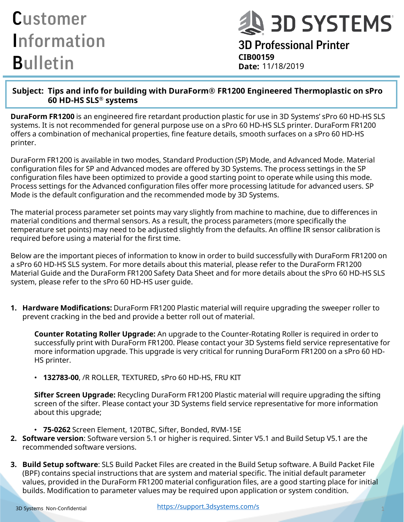# **Q 3D SYSTEMS**

3D Professional Printer **CIB00159 Date:**

#### **Subject: Tips and info for building with DuraForm® FR1200 Engineered Thermoplastic on sPro 60 HD-HS SLS® systems**

**DuraForm FR1200** is an engineered fire retardant production plastic for use in 3D Systems' sPro 60 HD-HS SLS systems. It is not recommended for general purpose use on a sPro 60 HD-HS SLS printer. DuraForm FR1200 offers a combination of mechanical properties, fine feature details, smooth surfaces on a sPro 60 HD-HS printer.

DuraForm FR1200 is available in two modes, Standard Production (SP) Mode, and Advanced Mode. Material configuration files for SP and Advanced modes are offered by 3D Systems. The process settings in the SP configuration files have been optimized to provide a good starting point to operate while using this mode. Process settings for the Advanced configuration files offer more processing latitude for advanced users. SP Mode is the default configuration and the recommended mode by 3D Systems.

The material process parameter set points may vary slightly from machine to machine, due to differences in material conditions and thermal sensors. As a result, the process parameters (more specifically the temperature set points) may need to be adjusted slightly from the defaults. An offline IR sensor calibration is required before using a material for the first time.

Below are the important pieces of information to know in order to build successfully with DuraForm FR1200 on a sPro 60 HD-HS SLS system. For more details about this material, please refer to the DuraForm FR1200 Material Guide and the DuraForm FR1200 Safety Data Sheet and for more details about the sPro 60 HD-HS SLS system, please refer to the sPro 60 HD-HS user guide.

**1. Hardware Modifications:** DuraForm FR1200 Plastic material will require upgrading the sweeper roller to prevent cracking in the bed and provide a better roll out of material.

**Counter Rotating Roller Upgrade:** An upgrade to the Counter-Rotating Roller is required in order to successfully print with DuraForm FR1200. Please contact your 3D Systems field service representative for more information upgrade. This upgrade is very critical for running DuraForm FR1200 on a sPro 60 HD-HS printer.

• **132783-00**, /R ROLLER, TEXTURED, sPro 60 HD-HS, FRU KIT

**Sifter Screen Upgrade:** Recycling DuraForm FR1200 Plastic material will require upgrading the sifting screen of the sifter. Please contact your 3D Systems field service representative for more information about this upgrade;

- **75-0262** Screen Element, 120TBC, Sifter, Bonded, RVM-15E
- **2. Software version**: Software version 5.1 or higher is required. Sinter V5.1 and Build Setup V5.1 are the recommended software versions.
- **3. Build Setup software**: SLS Build Packet Files are created in the Build Setup software. A Build Packet File (BPF) contains special instructions that are system and material specific. The initial default parameter values, provided in the DuraForm FR1200 material configuration files, are a good starting place for initial builds. Modification to parameter values may be required upon application or system condition.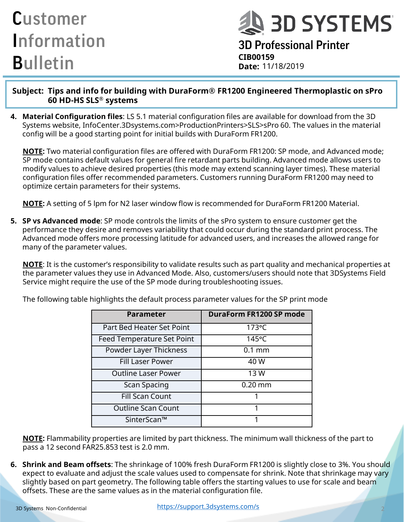**A 3D SYSTEMS** 

3D Professional Printer **CIB00159 Date:**

**Subject: Tips and info for building with DuraForm® FR1200 Engineered Thermoplastic on sPro 60 HD-HS SLS® systems**

**4. Material Configuration files**: LS 5.1 material configuration files are available for download from the 3D Systems website, InfoCenter.3Dsystems.com>ProductionPrinters>SLS>sPro 60. The values in the material config will be a good starting point for initial builds with DuraForm FR1200.

**NOTE:** Two material configuration files are offered with DuraForm FR1200: SP mode, and Advanced mode; SP mode contains default values for general fire retardant parts building. Advanced mode allows users to modify values to achieve desired properties (this mode may extend scanning layer times). These material configuration files offer recommended parameters. Customers running DuraForm FR1200 may need to optimize certain parameters for their systems.

**NOTE:** A setting of 5 lpm for N2 laser window flow is recommended for DuraForm FR1200 Material.

**5. SP vs Advanced mode**: SP mode controls the limits of the sPro system to ensure customer get the performance they desire and removes variability that could occur during the standard print process. The Advanced mode offers more processing latitude for advanced users, and increases the allowed range for many of the parameter values.

**NOTE**: It is the customer's responsibility to validate results such as part quality and mechanical properties at the parameter values they use in Advanced Mode. Also, customers/users should note that 3DSystems Field Service might require the use of the SP mode during troubleshooting issues.

| <b>Parameter</b>                  | <b>DuraForm FR1200 SP mode</b> |
|-----------------------------------|--------------------------------|
|                                   |                                |
| Part Bed Heater Set Point         | 173°C                          |
| <b>Feed Temperature Set Point</b> | 145°C                          |
| Powder Layer Thickness            | $0.1$ mm                       |
| <b>Fill Laser Power</b>           | 40 W                           |
| <b>Outline Laser Power</b>        | 13 W                           |
| <b>Scan Spacing</b>               | $0.20$ mm                      |
| <b>Fill Scan Count</b>            | 1                              |
| <b>Outline Scan Count</b>         | 1                              |
| SinterScan™                       |                                |

The following table highlights the default process parameter values for the SP print mode

**NOTE:** Flammability properties are limited by part thickness. The minimum wall thickness of the part to pass a 12 second FAR25.853 test is 2.0 mm.

**6. Shrink and Beam offsets**: The shrinkage of 100% fresh DuraForm FR1200 is slightly close to 3%. You should expect to evaluate and adjust the scale values used to compensate for shrink. Note that shrinkage may vary slightly based on part geometry. The following table offers the starting values to use for scale and beam offsets. These are the same values as in the material configuration file.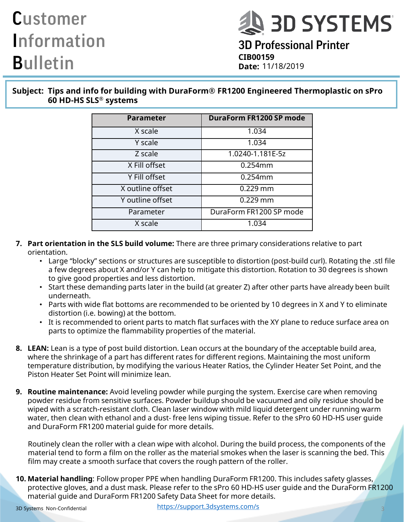

3D Professional Printer **CIB00159 Date:**

**Subject: Tips and info for building with DuraForm® FR1200 Engineered Thermoplastic on sPro 60 HD-HS SLS® systems**

| <b>Parameter</b> | DuraForm FR1200 SP mode |
|------------------|-------------------------|
| X scale          | 1.034                   |
| Y scale          | 1.034                   |
| Z scale          | 1.0240-1.181E-5z        |
| X Fill offset    | $0.254$ mm              |
| Y Fill offset    | 0.254mm                 |
| X outline offset | $0.229$ mm              |
| Y outline offset | $0.229$ mm              |
| Parameter        | DuraForm FR1200 SP mode |
| X scale          | 1.034                   |

- **7. Part orientation in the SLS build volume:** There are three primary considerations relative to part orientation.
	- Large "blocky" sections or structures are susceptible to distortion (post-build curl). Rotating the .stl file a few degrees about X and/or Y can help to mitigate this distortion. Rotation to 30 degrees is shown to give good properties and less distortion.
	- Start these demanding parts later in the build (at greater Z) after other parts have already been built underneath.
	- Parts with wide flat bottoms are recommended to be oriented by 10 degrees in X and Y to eliminate distortion (i.e. bowing) at the bottom.
	- It is recommended to orient parts to match flat surfaces with the XY plane to reduce surface area on parts to optimize the flammability properties of the material.
- **8. LEAN:** Lean is a type of post build distortion. Lean occurs at the boundary of the acceptable build area, where the shrinkage of a part has different rates for different regions. Maintaining the most uniform temperature distribution, by modifying the various Heater Ratios, the Cylinder Heater Set Point, and the Piston Heater Set Point will minimize lean.
- **9. Routine maintenance:** Avoid leveling powder while purging the system. Exercise care when removing powder residue from sensitive surfaces. Powder buildup should be vacuumed and oily residue should be wiped with a scratch-resistant cloth. Clean laser window with mild liquid detergent under running warm water, then clean with ethanol and a dust- free lens wiping tissue. Refer to the sPro 60 HD-HS user guide and DuraForm FR1200 material guide for more details.

Routinely clean the roller with a clean wipe with alcohol. During the build process, the components of the material tend to form a film on the roller as the material smokes when the laser is scanning the bed. This film may create a smooth surface that covers the rough pattern of the roller.

**10. Material handling**: Follow proper PPE when handling DuraForm FR1200. This includes safety glasses, protective gloves, and a dust mask. Please refer to the sPro 60 HD-HS user guide and the DuraForm FR1200 material guide and DuraForm FR1200 Safety Data Sheet for more details.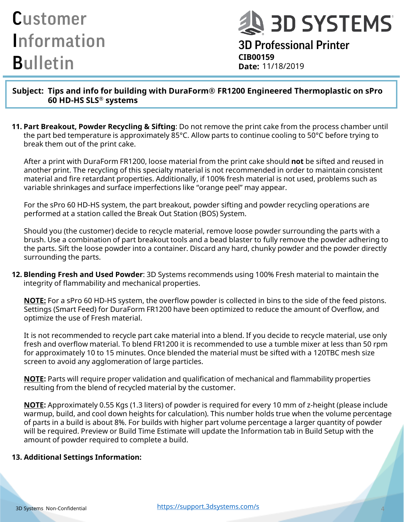**J 3D SYSTEMS** 

3D Professional Printer **CIB00159 Date:**

**Subject: Tips and info for building with DuraForm® FR1200 Engineered Thermoplastic on sPro 60 HD-HS SLS® systems**

**11. Part Breakout, Powder Recycling & Sifting**: Do not remove the print cake from the process chamber until the part bed temperature is approximately 85°C. Allow parts to continue cooling to 50°C before trying to break them out of the print cake.

After a print with DuraForm FR1200, loose material from the print cake should **not** be sifted and reused in another print. The recycling of this specialty material is not recommended in order to maintain consistent material and fire retardant properties. Additionally, if 100% fresh material is not used, problems such as variable shrinkages and surface imperfections like "orange peel" may appear.

For the sPro 60 HD-HS system, the part breakout, powder sifting and powder recycling operations are performed at a station called the Break Out Station (BOS) System.

Should you (the customer) decide to recycle material, remove loose powder surrounding the parts with a brush. Use a combination of part breakout tools and a bead blaster to fully remove the powder adhering to the parts. Sift the loose powder into a container. Discard any hard, chunky powder and the powder directly surrounding the parts.

**12. Blending Fresh and Used Powder**: 3D Systems recommends using 100% Fresh material to maintain the integrity of flammability and mechanical properties.

**NOTE:** For a sPro 60 HD-HS system, the overflow powder is collected in bins to the side of the feed pistons. Settings (Smart Feed) for DuraForm FR1200 have been optimized to reduce the amount of Overflow, and optimize the use of Fresh material.

It is not recommended to recycle part cake material into a blend. If you decide to recycle material, use only fresh and overflow material. To blend FR1200 it is recommended to use a tumble mixer at less than 50 rpm for approximately 10 to 15 minutes. Once blended the material must be sifted with a 120TBC mesh size screen to avoid any agglomeration of large particles.

**NOTE:** Parts will require proper validation and qualification of mechanical and flammability properties resulting from the blend of recycled material by the customer.

**NOTE:** Approximately 0.55 Kgs (1.3 liters) of powder is required for every 10 mm of z-height (please include warmup, build, and cool down heights for calculation). This number holds true when the volume percentage of parts in a build is about 8%. For builds with higher part volume percentage a larger quantity of powder will be required. Preview or Build Time Estimate will update the Information tab in Build Setup with the amount of powder required to complete a build.

#### **13. Additional Settings Information:**